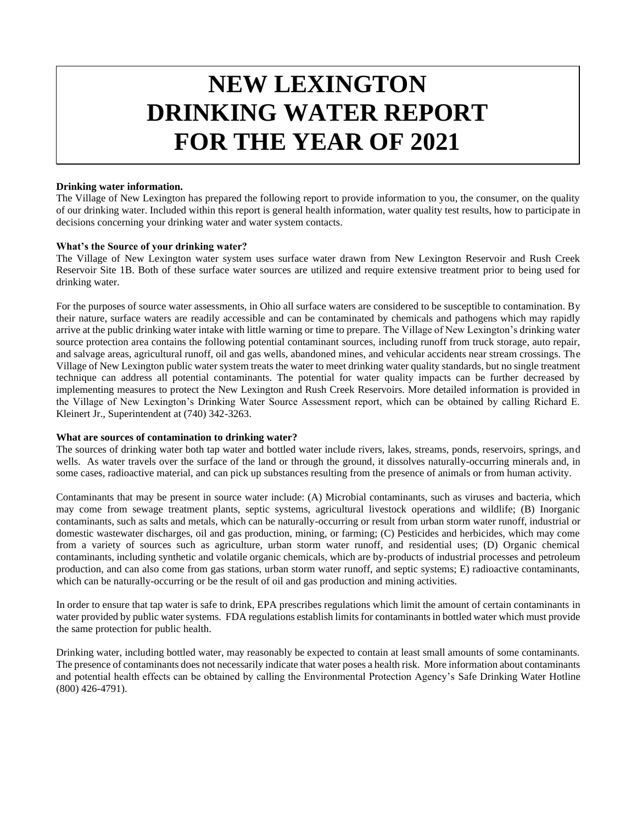# **NEW LEXINGTON DRINKING WATER REPORT FOR THE YEAR OF 2021**

#### **Drinking water information.**

The Village of New Lexington has prepared the following report to provide information to you, the consumer, on the quality of our drinking water. Included within this report is general health information, water quality test results, how to participate in decisions concerning your drinking water and water system contacts.

#### **What's the Source of your drinking water?**

The Village of New Lexington water system uses surface water drawn from New Lexington Reservoir and Rush Creek Reservoir Site 1B. Both of these surface water sources are utilized and require extensive treatment prior to being used for drinking water.

For the purposes of source water assessments, in Ohio all surface waters are considered to be susceptible to contamination. By their nature, surface waters are readily accessible and can be contaminated by chemicals and pathogens which may rapidly arrive at the public drinking water intake with little warning or time to prepare. The Village of New Lexington's drinking water source protection area contains the following potential contaminant sources, including runoff from truck storage, auto repair, and salvage areas, agricultural runoff, oil and gas wells, abandoned mines, and vehicular accidents near stream crossings. The Village of New Lexington public water system treats the water to meet drinking water quality standards, but no single treatment technique can address all potential contaminants. The potential for water quality impacts can be further decreased by implementing measures to protect the New Lexington and Rush Creek Reservoirs. More detailed information is provided in the Village of New Lexington's Drinking Water Source Assessment report, which can be obtained by calling Richard E. Kleinert Jr., Superintendent at (740) 342-3263.

#### **What are sources of contamination to drinking water?**

The sources of drinking water both tap water and bottled water include rivers, lakes, streams, ponds, reservoirs, springs, and wells. As water travels over the surface of the land or through the ground, it dissolves naturally-occurring minerals and, in some cases, radioactive material, and can pick up substances resulting from the presence of animals or from human activity.

Contaminants that may be present in source water include: (A) Microbial contaminants, such as viruses and bacteria, which may come from sewage treatment plants, septic systems, agricultural livestock operations and wildlife; (B) Inorganic contaminants, such as salts and metals, which can be naturally-occurring or result from urban storm water runoff, industrial or domestic wastewater discharges, oil and gas production, mining, or farming; (C) Pesticides and herbicides, which may come from a variety of sources such as agriculture, urban storm water runoff, and residential uses; (D) Organic chemical contaminants, including synthetic and volatile organic chemicals, which are by-products of industrial processes and petroleum production, and can also come from gas stations, urban storm water runoff, and septic systems; E) radioactive contaminants, which can be naturally-occurring or be the result of oil and gas production and mining activities.

In order to ensure that tap water is safe to drink, EPA prescribes regulations which limit the amount of certain contaminants in water provided by public water systems. FDA regulations establish limits for contaminants in bottled water which must provide the same protection for public health.

Drinking water, including bottled water, may reasonably be expected to contain at least small amounts of some contaminants. The presence of contaminants does not necessarily indicate that water poses a health risk. More information about contaminants and potential health effects can be obtained by calling the Environmental Protection Agency's Safe Drinking Water Hotline (800) 426-4791).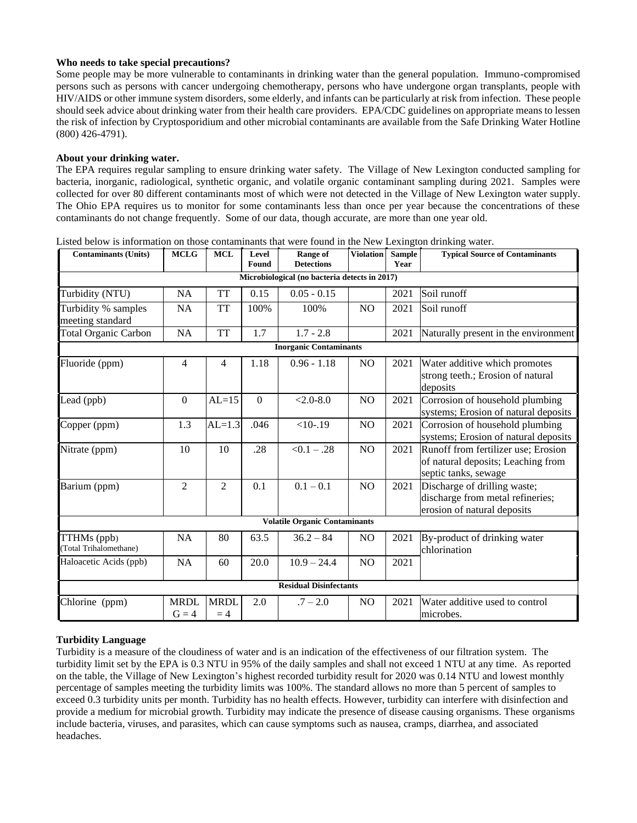#### **Who needs to take special precautions?**

Some people may be more vulnerable to contaminants in drinking water than the general population. Immuno-compromised persons such as persons with cancer undergoing chemotherapy, persons who have undergone organ transplants, people with HIV/AIDS or other immune system disorders, some elderly, and infants can be particularly at risk from infection. These people should seek advice about drinking water from their health care providers. EPA/CDC guidelines on appropriate means to lessen the risk of infection by Cryptosporidium and other microbial contaminants are available from the Safe Drinking Water Hotline (800) 426-4791).

#### **About your drinking water.**

The EPA requires regular sampling to ensure drinking water safety. The Village of New Lexington conducted sampling for bacteria, inorganic, radiological, synthetic organic, and volatile organic contaminant sampling during 2021. Samples were collected for over 80 different contaminants most of which were not detected in the Village of New Lexington water supply. The Ohio EPA requires us to monitor for some contaminants less than once per year because the concentrations of these contaminants do not change frequently. Some of our data, though accurate, are more than one year old.

| <b>Contaminants (Units)</b>                   | <b>MCLG</b>            | <b>MCL</b>          | Level<br>Found | Range of<br><b>Detections</b> | Violation      | <b>Sample</b><br>Year | <b>Typical Source of Contaminants</b>                                                             |
|-----------------------------------------------|------------------------|---------------------|----------------|-------------------------------|----------------|-----------------------|---------------------------------------------------------------------------------------------------|
| Microbiological (no bacteria detects in 2017) |                        |                     |                |                               |                |                       |                                                                                                   |
| Turbidity (NTU)                               | <b>NA</b>              | <b>TT</b>           | 0.15           | $0.05 - 0.15$                 |                | 2021                  | Soil runoff                                                                                       |
| Turbidity % samples<br>meeting standard       | <b>NA</b>              | <b>TT</b>           | 100%           | 100%                          | NO             | 2021                  | Soil runoff                                                                                       |
| <b>Total Organic Carbon</b>                   | <b>NA</b>              | <b>TT</b>           | 1.7            | $1.7 - 2.8$                   |                | 2021                  | Naturally present in the environment                                                              |
| <b>Inorganic Contaminants</b>                 |                        |                     |                |                               |                |                       |                                                                                                   |
| Fluoride (ppm)                                | 4                      | 4                   | 1.18           | $0.96 - 1.18$                 | NO             | 2021                  | Water additive which promotes<br>strong teeth.; Erosion of natural<br>deposits                    |
| Lead (ppb)                                    | $\mathbf{0}$           | $AL=15$             | $\Omega$       | $< 2.0 - 8.0$                 | N <sub>O</sub> | 2021                  | Corrosion of household plumbing<br>systems; Erosion of natural deposits                           |
| Copper (ppm)                                  | 1.3                    | $AL=1.3$            | .046           | $<10-19$                      | NO             | 2021                  | Corrosion of household plumbing<br>systems; Erosion of natural deposits                           |
| Nitrate (ppm)                                 | 10                     | 10                  | .28            | $< 0.1 - .28$                 | NO             | 2021                  | Runoff from fertilizer use; Erosion<br>of natural deposits; Leaching from<br>septic tanks, sewage |
| Barium (ppm)                                  | $\overline{2}$         | $\overline{c}$      | 0.1            | $0.1 - 0.1$                   | NO             | 2021                  | Discharge of drilling waste;<br>discharge from metal refineries;<br>erosion of natural deposits   |
| <b>Volatile Organic Contaminants</b>          |                        |                     |                |                               |                |                       |                                                                                                   |
| TTHMs (ppb)<br>(Total Trihalomethane)         | NA                     | 80                  | 63.5           | $36.2 - 84$                   | N <sub>O</sub> | 2021                  | By-product of drinking water<br>chlorination                                                      |
| Haloacetic Acids (ppb)                        | <b>NA</b>              | 60                  | 20.0           | $10.9 - 24.4$                 | N <sub>O</sub> | 2021                  |                                                                                                   |
| <b>Residual Disinfectants</b>                 |                        |                     |                |                               |                |                       |                                                                                                   |
| Chlorine (ppm)                                | <b>MRDL</b><br>$G = 4$ | <b>MRDL</b><br>$=4$ | 2.0            | $.7 - 2.0$                    | NO             | 2021                  | Water additive used to control<br>microbes.                                                       |

Listed below is information on those contaminants that were found in the New Lexington drinking water.

#### **Turbidity Language**

Turbidity is a measure of the cloudiness of water and is an indication of the effectiveness of our filtration system. The turbidity limit set by the EPA is 0.3 NTU in 95% of the daily samples and shall not exceed 1 NTU at any time. As reported on the table, the Village of New Lexington's highest recorded turbidity result for 2020 was 0.14 NTU and lowest monthly percentage of samples meeting the turbidity limits was 100%. The standard allows no more than 5 percent of samples to exceed 0.3 turbidity units per month. Turbidity has no health effects. However, turbidity can interfere with disinfection and provide a medium for microbial growth. Turbidity may indicate the presence of disease causing organisms. These organisms include bacteria, viruses, and parasites, which can cause symptoms such as nausea, cramps, diarrhea, and associated headaches.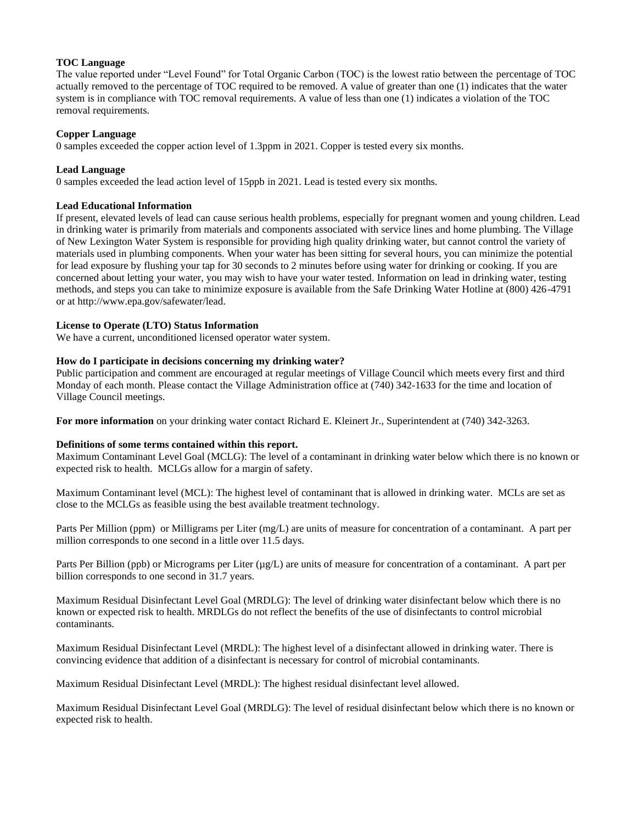#### **TOC Language**

The value reported under "Level Found" for Total Organic Carbon (TOC) is the lowest ratio between the percentage of TOC actually removed to the percentage of TOC required to be removed. A value of greater than one (1) indicates that the water system is in compliance with TOC removal requirements. A value of less than one (1) indicates a violation of the TOC removal requirements.

#### **Copper Language**

0 samples exceeded the copper action level of 1.3ppm in 2021. Copper is tested every six months.

#### **Lead Language**

0 samples exceeded the lead action level of 15ppb in 2021. Lead is tested every six months.

#### **Lead Educational Information**

If present, elevated levels of lead can cause serious health problems, especially for pregnant women and young children. Lead in drinking water is primarily from materials and components associated with service lines and home plumbing. The Village of New Lexington Water System is responsible for providing high quality drinking water, but cannot control the variety of materials used in plumbing components. When your water has been sitting for several hours, you can minimize the potential for lead exposure by flushing your tap for 30 seconds to 2 minutes before using water for drinking or cooking. If you are concerned about letting your water, you may wish to have your water tested. Information on lead in drinking water, testing methods, and steps you can take to minimize exposure is available from the Safe Drinking Water Hotline at (800) 426-4791 or at http://www.epa.gov/safewater/lead.

#### **License to Operate (LTO) Status Information**

We have a current, unconditioned licensed operator water system.

#### **How do I participate in decisions concerning my drinking water?**

Public participation and comment are encouraged at regular meetings of Village Council which meets every first and third Monday of each month. Please contact the Village Administration office at (740) 342-1633 for the time and location of Village Council meetings.

**For more information** on your drinking water contact Richard E. Kleinert Jr., Superintendent at (740) 342-3263.

#### **Definitions of some terms contained within this report.**

Maximum Contaminant Level Goal (MCLG): The level of a contaminant in drinking water below which there is no known or expected risk to health. MCLGs allow for a margin of safety.

Maximum Contaminant level (MCL): The highest level of contaminant that is allowed in drinking water. MCLs are set as close to the MCLGs as feasible using the best available treatment technology.

Parts Per Million (ppm) or Milligrams per Liter (mg/L) are units of measure for concentration of a contaminant. A part per million corresponds to one second in a little over 11.5 days.

Parts Per Billion (ppb) or Micrograms per Liter ( $\mu$ g/L) are units of measure for concentration of a contaminant. A part per billion corresponds to one second in 31.7 years.

Maximum Residual Disinfectant Level Goal (MRDLG): The level of drinking water disinfectant below which there is no known or expected risk to health. MRDLGs do not reflect the benefits of the use of disinfectants to control microbial contaminants.

Maximum Residual Disinfectant Level (MRDL): The highest level of a disinfectant allowed in drinking water. There is convincing evidence that addition of a disinfectant is necessary for control of microbial contaminants.

Maximum Residual Disinfectant Level (MRDL): The highest residual disinfectant level allowed.

Maximum Residual Disinfectant Level Goal (MRDLG): The level of residual disinfectant below which there is no known or expected risk to health.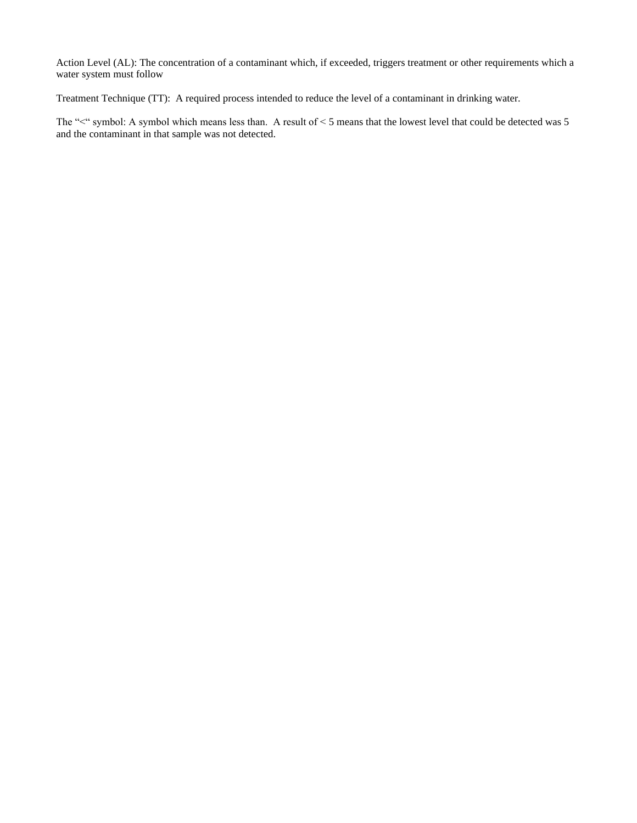Action Level (AL): The concentration of a contaminant which, if exceeded, triggers treatment or other requirements which a water system must follow

Treatment Technique (TT): A required process intended to reduce the level of a contaminant in drinking water.

The "<" symbol: A symbol which means less than. A result of < 5 means that the lowest level that could be detected was 5 and the contaminant in that sample was not detected.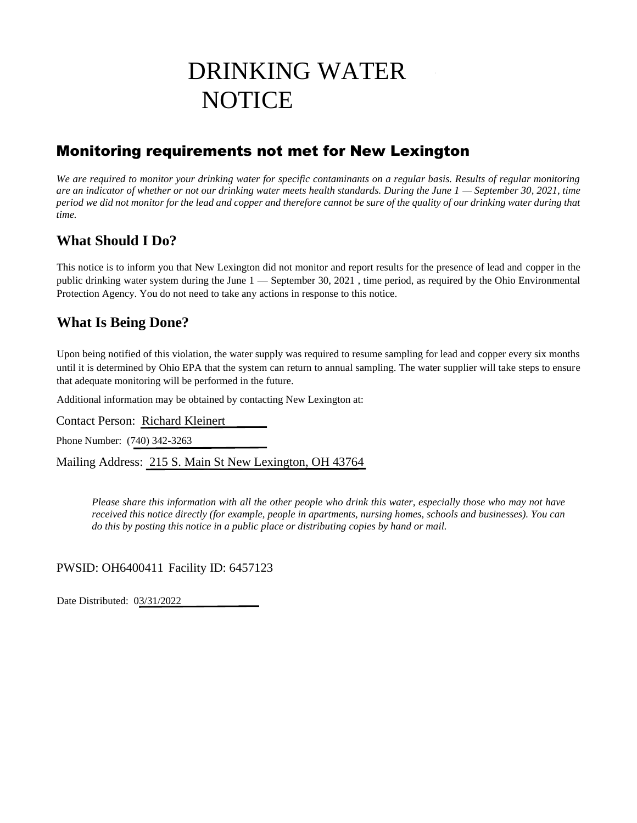## DRINKING WATER **NOTICE**

## Monitoring requirements not met for New Lexington

*We are required to monitor your drinking water for specific contaminants on a regular basis. Results of regular monitoring are an indicator of whether or not our drinking water meets health standards. During the June 1 — September 30, 2021, time period we did not monitor for the lead and copper and therefore cannot be sure of the quality of our drinking water during that time.* 

## **What Should I Do?**

This notice is to inform you that New Lexington did not monitor and report results for the presence of lead and copper in the public drinking water system during the June 1 — September 30, 2021 , time period, as required by the Ohio Environmental Protection Agency. You do not need to take any actions in response to this notice.

## **What Is Being Done?**

Upon being notified of this violation, the water supply was required to resume sampling for lead and copper every six months until it is determined by Ohio EPA that the system can return to annual sampling. The water supplier will take steps to ensure that adequate monitoring will be performed in the future.

Additional information may be obtained by contacting New Lexington at:

Contact Person: Richard Kleinert

Phone Number: (740) 342-3263

Mailing Address: 215 S. Main St New Lexington, OH 43764

*Please share this information with all the other people who drink this water, especially those who may not have received this notice directly (for example, people in apartments, nursing homes, schools and businesses). You can do this by posting this notice in a public place or distributing copies by hand or mail.*

PWSID: OH6400411 Facility ID: 6457123

Date Distributed: 03/31/2022